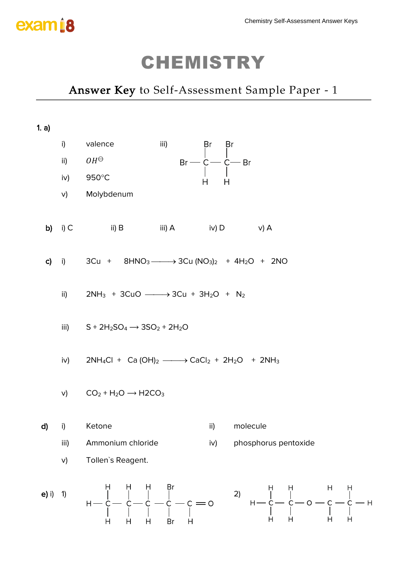

### *Answer Key to Self-Assessment Sample Paper - 1*

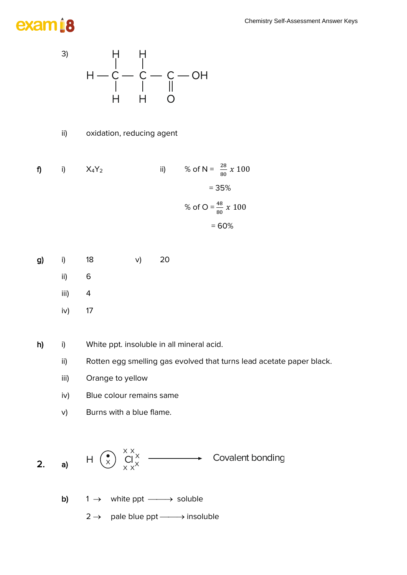# exam <u>i</u>8



ii) oxidation, reducing agent

| f) | $\vert$ ) | $X_4Y_2$ | ii) | % of N = $\frac{28}{80} x 100$ |
|----|-----------|----------|-----|--------------------------------|
|    |           |          |     | $= 35%$                        |
|    |           |          |     | % of O = $\frac{48}{80}$ x 100 |
|    |           |          |     | $=60%$                         |

- g) i) 18 v) 20
	- ii) 6
	- iii)  $4$
	- iv) 17

h) i) White ppt. insoluble in all mineral acid.

- ii) Rotten egg smelling gas evolved that turns lead acetate paper black.
- iii) Orange to yellow
- iv) Blue colour remains same
- v) Burns with a blue flame.



- b)  $1 \rightarrow$  white ppt  $\longrightarrow$  soluble
	- $2 \rightarrow$  pale blue ppt  $\longrightarrow$  insoluble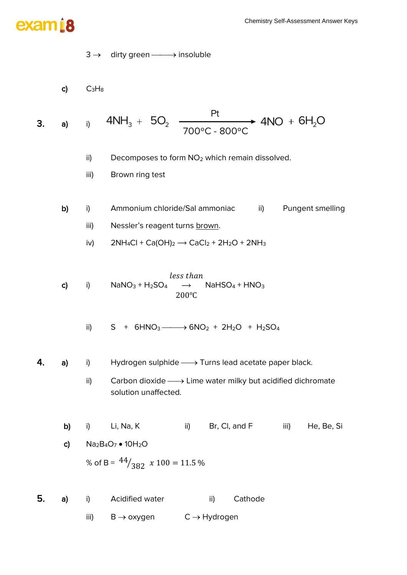# exam i8

- $3 \rightarrow$  dirty green  $\longrightarrow$  insoluble
- c)  $C_3H_8$

3. a) i 
$$
4NH_3 + 5O_2
$$
  $\xrightarrow{Pt}$   $4NO + 6H_2O$ 

- ii) Decomposes to form  $NO<sub>2</sub>$  which remain dissolved.
- iii) Brown ring test
- b) i) Ammonium chloride/Sal ammoniac ii) Pungent smelling iii) Nessler's reagent turns brown.
	- iv)  $2NH_4Cl + Ca(OH)_2 \rightarrow CaCl_2 + 2H_2O + 2NH_3$

c) i)  $NaNO_3 + H_2SO_4$ less than  $\rightarrow$  NaHSO<sub>4</sub> + HNO<sub>3</sub> 200℃

$$
ii) \qquad S + 6HNO3 \longrightarrow 6NO2 + 2H2O + H2SO4
$$

- **4.** a) i) Hydrogen sulphide  $\longrightarrow$  Turns lead acetate paper black.
	- ii) Carbon dioxide  $\longrightarrow$  Lime water milky but acidified dichromate solution unaffected.

b) i) Li, Na, K ii) Br, Cl, and F iii) He, Be, Si c)  $Na<sub>2</sub>B<sub>4</sub>O<sub>7</sub> • 10H<sub>2</sub>O$ % of B =  $44/382$   $x \ 100 = 11.5$  %

5. a) i) Acidified water ii) Cathode iii)  $B \rightarrow oxy$ gen  $C \rightarrow Hydrogen$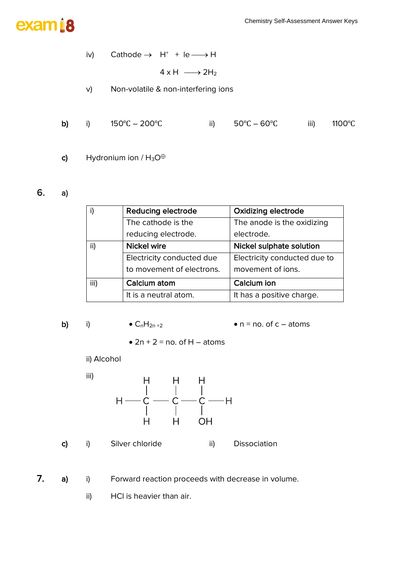

 $iv)$  Cathode  $\rightarrow$  H<sup>+</sup> + le  $\longrightarrow$  H

 $4 \times H \longrightarrow 2H_2$ 

- v) Non-volatile & non-interfering ions
- b) i) 150℃ 200℃ ii) 50℃ 60℃ iii) 1100℃
- c) Hydronium ion /  $H_3O^{\oplus}$

#### 6. a)

|      | <b>Reducing electrode</b> | <b>Oxidizing electrode</b>   |
|------|---------------------------|------------------------------|
|      | The cathode is the        | The anode is the oxidizing   |
|      | reducing electrode.       | electrode.                   |
| ii)  | <b>Nickel wire</b>        | Nickel sulphate solution     |
|      | Electricity conducted due | Electricity conducted due to |
|      | to movement of electrons. | movement of ions.            |
| iii) | Calcium atom              | Calcium ion                  |
|      | It is a neutral atom.     | It has a positive charge.    |

b) i)  $\bullet$  C<sub>n</sub>H<sub>2n+2</sub>  $\bullet$  n = no. of c – atoms

 $\bullet$  2n + 2 = no. of H – atoms

ii) Alcohol

iii)



c) i) Silver chloride ii) Dissociation

7. a) i) Forward reaction proceeds with decrease in volume.

ii) HCl is heavier than air.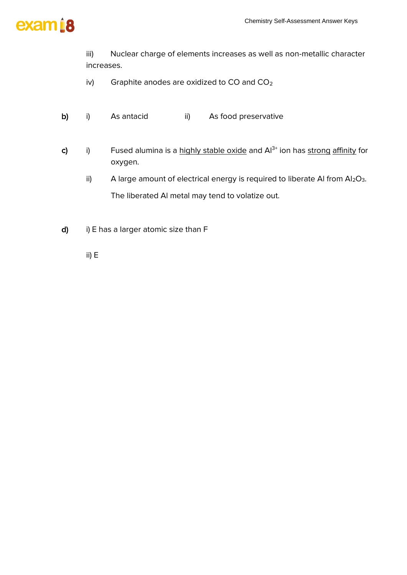

iii) Nuclear charge of elements increases as well as non-metallic character increases.

- iv) Graphite anodes are oxidized to  $CO$  and  $CO<sub>2</sub>$
- b) i) As antacid ii) As food preservative
- c) i) Fused alumina is a highly stable oxide and  $Al^{3+}$  ion has strong affinity for oxygen.
	- ii) A large amount of electrical energy is required to liberate AI from  $Al_2O_3$ . The liberated Al metal may tend to volatize out.
- d) i) E has a larger atomic size than F

ii) E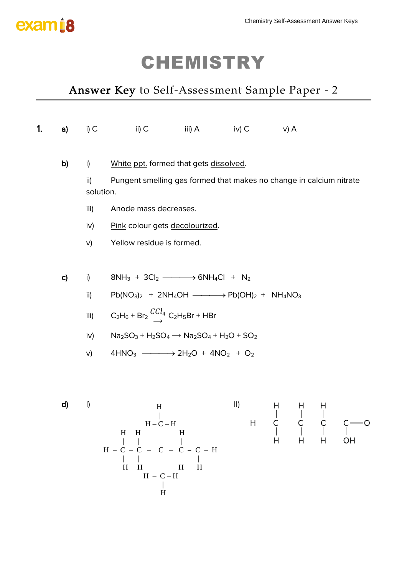

### *Answer Key to Self-Assessment Sample Paper - 2*

| 1. | a)           | i) $C$           | $i)$ C                                                                                                                             | $\mathsf{iii)}\; \mathsf{A}$ | $iv)$ $C$ | $v)$ A                                                                                                                                                                                                                                                                                                                                                                                                                     |   |    |
|----|--------------|------------------|------------------------------------------------------------------------------------------------------------------------------------|------------------------------|-----------|----------------------------------------------------------------------------------------------------------------------------------------------------------------------------------------------------------------------------------------------------------------------------------------------------------------------------------------------------------------------------------------------------------------------------|---|----|
|    | b)           | i)               | White ppt. formed that gets dissolved.                                                                                             |                              |           |                                                                                                                                                                                                                                                                                                                                                                                                                            |   |    |
|    |              | ii)<br>solution. | Pungent smelling gas formed that makes no change in calcium nitrate                                                                |                              |           |                                                                                                                                                                                                                                                                                                                                                                                                                            |   |    |
|    |              | iii)             | Anode mass decreases.                                                                                                              |                              |           |                                                                                                                                                                                                                                                                                                                                                                                                                            |   |    |
|    |              | iv)              | Pink colour gets decolourized.                                                                                                     |                              |           |                                                                                                                                                                                                                                                                                                                                                                                                                            |   |    |
|    |              | V)               | Yellow residue is formed.                                                                                                          |                              |           |                                                                                                                                                                                                                                                                                                                                                                                                                            |   |    |
|    | $\mathsf{c}$ | i)               | $8NH_3 + 3Cl_2 \longrightarrow 6NH_4Cl + N_2$                                                                                      |                              |           |                                                                                                                                                                                                                                                                                                                                                                                                                            |   |    |
|    |              | ii)              | $Pb(NO3)2 + 2NH4OH \nightharpoonup \nightharpoonup Pb(OH)2 + NH4NO3$                                                               |                              |           |                                                                                                                                                                                                                                                                                                                                                                                                                            |   |    |
|    |              | iii)             | C <sub>2</sub> H <sub>6</sub> + Br <sub>2</sub> $\frac{CCl_4}{\rightarrow}$ C <sub>2</sub> H <sub>5</sub> Br + HBr                 |                              |           |                                                                                                                                                                                                                                                                                                                                                                                                                            |   |    |
|    |              | iv)              | $Na2SO3 + H2SO4 \longrightarrow Na2SO4 + H2O + SO2$                                                                                |                              |           |                                                                                                                                                                                                                                                                                                                                                                                                                            |   |    |
|    |              | V)               | $4HNO3$ $\longrightarrow$ $2H2O + 4NO2 + O2$                                                                                       |                              |           |                                                                                                                                                                                                                                                                                                                                                                                                                            |   |    |
|    |              |                  |                                                                                                                                    |                              |           |                                                                                                                                                                                                                                                                                                                                                                                                                            |   |    |
|    | d)           | $\vert$          | $\boldsymbol{\mathrm{H}}$                                                                                                          |                              |           |                                                                                                                                                                                                                                                                                                                                                                                                                            |   |    |
|    |              |                  | $H - C - H$                                                                                                                        |                              |           | II) H H H<br>$\leftarrow$ C $\leftarrow$ C $\leftarrow$ C $\leftarrow$ C $\leftarrow$ C $\leftarrow$ C $\leftarrow$ C $\leftarrow$ C $\leftarrow$ C $\leftarrow$ C $\leftarrow$ C $\leftarrow$ C $\leftarrow$ C $\leftarrow$ C $\leftarrow$ C $\leftarrow$ C $\leftarrow$ C $\leftarrow$ C $\leftarrow$ C $\leftarrow$ C $\leftarrow$ C $\leftarrow$ C $\leftarrow$ C $\leftarrow$ C $\leftarrow$ C $\leftarrow$ C $\left$ |   |    |
|    |              |                  | $\begin{array}{cccc} & H & H &   & H \\   &   &   &   &   \\ H - C - C & - C & - C & - C = C - H \\   &   &   &   &   \end{array}$ |                              |           | H                                                                                                                                                                                                                                                                                                                                                                                                                          | H | OH |

 $H$  H  $H$  H  $H$  $H - C - H$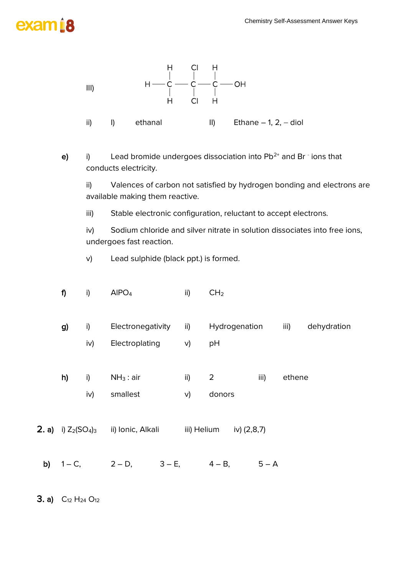

### **3. a)**  $C_{12} H_{24} O_{12}$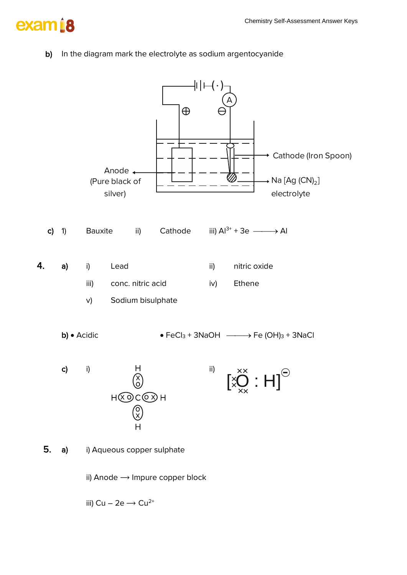# exam 18

b) In the diagram mark the electrolyte as sodium argentocyanide



iii) Cu – 2e  $\rightarrow$  Cu<sup>2+</sup>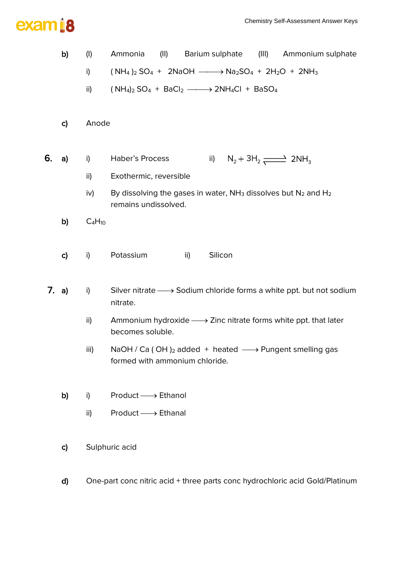

|    | b)           | $($ l $)$   | (II)<br>Barium sulphate<br>(III)<br>Ammonium sulphate<br>Ammonia                                                            |
|----|--------------|-------------|-----------------------------------------------------------------------------------------------------------------------------|
|    |              | i)          | $(NH_4)_2$ SO <sub>4</sub> + 2NaOH $\longrightarrow$ Na <sub>2</sub> SO <sub>4</sub> + 2H <sub>2</sub> O + 2NH <sub>3</sub> |
|    |              | ii)         | $(NH_4)_2 SO_4 + BaCl_2 \longrightarrow 2NH_4Cl + BaSO_4$                                                                   |
|    |              |             |                                                                                                                             |
|    | C)           | Anode       |                                                                                                                             |
|    |              |             |                                                                                                                             |
| 6. | a)           | i)          | Haber's Process<br>$N_2 + 3H_2 \longrightarrow 2NH_3$<br>ii)                                                                |
|    |              | ii)         | Exothermic, reversible                                                                                                      |
|    |              | iv)         | By dissolving the gases in water, $NH3$ dissolves but $N2$ and $H2$<br>remains undissolved.                                 |
|    | b)           | $C_4H_{10}$ |                                                                                                                             |
|    |              |             |                                                                                                                             |
|    | $\mathsf{c}$ | i)          | Potassium<br>Silicon<br>ii)                                                                                                 |
|    |              |             |                                                                                                                             |
|    | 7. a)        | i)          | Silver nitrate $\longrightarrow$ Sodium chloride forms a white ppt. but not sodium<br>nitrate.                              |
|    |              | ii)         | Ammonium hydroxide $\longrightarrow$ Zinc nitrate forms white ppt. that later<br>becomes soluble.                           |
|    |              | iii)        | NaOH / Ca (OH) <sub>2</sub> added + heated $\longrightarrow$ Pungent smelling gas<br>formed with ammonium chloride.         |
|    |              |             |                                                                                                                             |
|    | b)           | i)          | $Product \longrightarrow Ethanol$                                                                                           |
|    |              | ii)         | $Product \longrightarrow Ethanal$                                                                                           |
|    |              |             |                                                                                                                             |
|    | $\mathbf{c}$ |             | Sulphuric acid                                                                                                              |
|    |              |             |                                                                                                                             |
|    |              |             |                                                                                                                             |

d) One-part conc nitric acid + three parts conc hydrochloric acid Gold/Platinum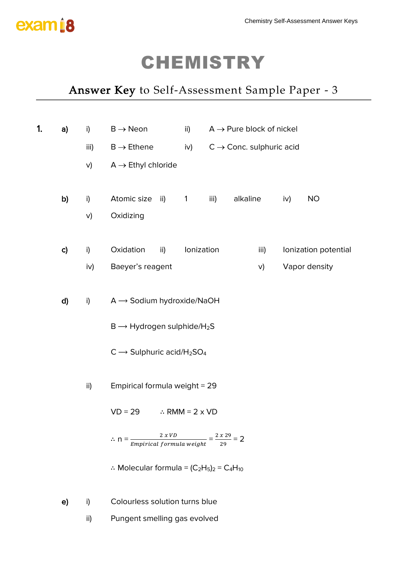

## *Answer Key to Self-Assessment Sample Paper - 3*

| 1. | a)            | i)   | $B \rightarrow$ Neon                                                              |     | ii)                       |                                      |          | $A \rightarrow$ Pure block of nickel |     |                      |  |
|----|---------------|------|-----------------------------------------------------------------------------------|-----|---------------------------|--------------------------------------|----------|--------------------------------------|-----|----------------------|--|
|    |               | iii) | $B \rightarrow$ Ethene                                                            |     | iv)                       | $C \rightarrow$ Conc. sulphuric acid |          |                                      |     |                      |  |
|    |               | V)   | $A \rightarrow$ Ethyl chloride                                                    |     |                           |                                      |          |                                      |     |                      |  |
|    |               |      |                                                                                   |     |                           |                                      |          |                                      |     |                      |  |
|    | b)            | i)   | Atomic size                                                                       | ii) | $\mathbf{1}$              | iii)                                 | alkaline |                                      | iv) | <b>NO</b>            |  |
|    |               | V)   | Oxidizing                                                                         |     |                           |                                      |          |                                      |     |                      |  |
|    | $\mathsf{c})$ | i)   | Oxidation                                                                         | ii) | Ionization                |                                      |          | iii)                                 |     | Ionization potential |  |
|    |               | iv)  | Baeyer's reagent                                                                  |     |                           |                                      |          | V)                                   |     | Vapor density        |  |
|    | d)            | i)   | $A \rightarrow$ Sodium hydroxide/NaOH                                             |     |                           |                                      |          |                                      |     |                      |  |
|    |               |      | $B \longrightarrow$ Hydrogen sulphide/H <sub>2</sub> S                            |     |                           |                                      |          |                                      |     |                      |  |
|    |               |      | $C \longrightarrow$ Sulphuric acid/H <sub>2</sub> SO <sub>4</sub>                 |     |                           |                                      |          |                                      |     |                      |  |
|    |               | ii)  | Empirical formula weight = 29                                                     |     |                           |                                      |          |                                      |     |                      |  |
|    |               |      | $VD = 29$                                                                         |     | $\therefore$ RMM = 2 x VD |                                      |          |                                      |     |                      |  |
|    |               |      | $\therefore n = \frac{2 x V D}{Empirical formula weight} = \frac{2 x 29}{29} = 2$ |     |                           |                                      |          |                                      |     |                      |  |
|    |               |      | : Molecular formula = $(C_2H_5)_2 = C_4H_{10}$                                    |     |                           |                                      |          |                                      |     |                      |  |
|    | e)            | i)   | Colourless solution turns blue                                                    |     |                           |                                      |          |                                      |     |                      |  |
|    |               | ii)  | Pungent smelling gas evolved                                                      |     |                           |                                      |          |                                      |     |                      |  |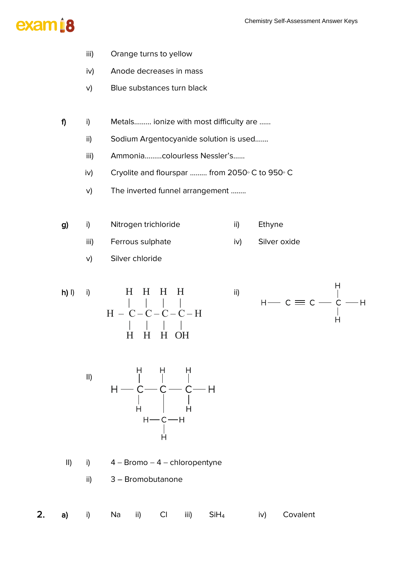

- iii) Orange turns to yellow
- iv) Anode decreases in mass
- v) Blue substances turn black
- f) i) Metals……… ionize with most difficulty are ……
	- ii) Sodium Argentocyanide solution is used…….
	- iii) Ammonia………colourless Nessler's……
	- iv) Cryolite and flourspar ……… from 2050º C to 950º C
	- v) The inverted funnel arrangement ……..
- g) i) Nitrogen trichloride ii) Ethyne
	- iii) Ferrous sulphate iv) Silver oxide
	- v) Silver chloride









II) i) 4 − Bromo − 4 − chloropentyne

ii) 3 – Bromobutanone

| <b>2.</b> a) i) Na ii) Cl iii) SiH <sub>4</sub> iv) Covalent |  |  |  |  |  |  |  |  |  |  |
|--------------------------------------------------------------|--|--|--|--|--|--|--|--|--|--|
|--------------------------------------------------------------|--|--|--|--|--|--|--|--|--|--|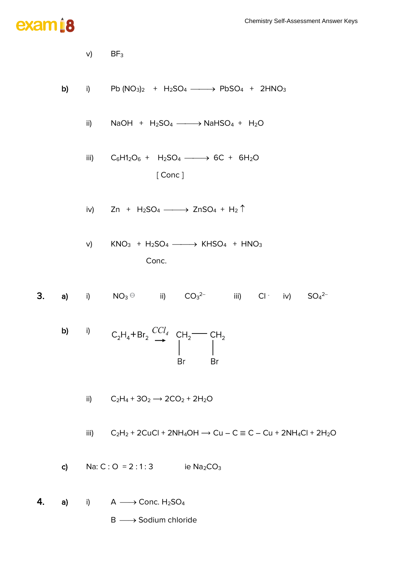# exam i8

y) 
$$
BF_3
$$
  
\nb) i)  $Pb (NO_3)_2 + H_2SO_4 \longrightarrow PbSO_4 + 2HNO_3$   
\nii)  $NaOH + H_2SO_4 \longrightarrow NaHSO_4 + H_2O$   
\niii)  $C_6H_2O_6 + H_2SO_4 \longrightarrow 6C + 6H_2O$   
\n[Conc]  
\niv) Zn + H\_2SO\_4 \longrightarrow 2nSO\_4 + H\_2<sup>†</sup>  
\nv) KNO<sub>3</sub> + H\_2SO\_4 \longrightarrow KHSO\_4 + HNO\_3  
\nConc.  
\n3. a) i) NO<sub>3</sub> ⊕ ii) CO<sub>3</sub><sup>2-</sup> iii) Cl· iv) SO<sub>4</sub><sup>2-</sup>  
\nb) i) C<sub>2</sub>H<sub>4</sub>+Br<sub>2</sub>  $\begin{array}{c|c}\nCH_2 & CH_2 \\
CH_2 & H_2 \\
Br & Br\n\end{array}$   
\nii) C<sub>2</sub>H<sub>4</sub>+3O<sub>2</sub> → 2CO<sub>2</sub> + 2H<sub>2</sub>O  
\niii) C<sub>2</sub>H<sub>2</sub>+2ClCl + 2NH<sub>4</sub>OH → Cu - C ≡ C - Cu + 2NH<sub>4</sub>Cl + 2H<sub>2</sub>O  
\nc) Na: C: O = 2:1:3 ie Na<sub>2</sub>CO<sub>3</sub>  
\n4. a) i) A → Conc. H<sub>2</sub>SO<sub>4</sub>  
\nB → Sodium chloride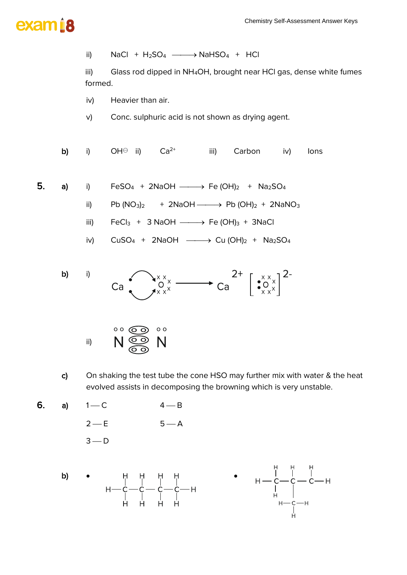



- c) On shaking the test tube the cone HSO may further mix with water & the heat evolved assists in decomposing the browning which is very unstable.
- 6. a)  $1 C$   $4 B$  $2 - E$   $5 - A$  $3 - D$



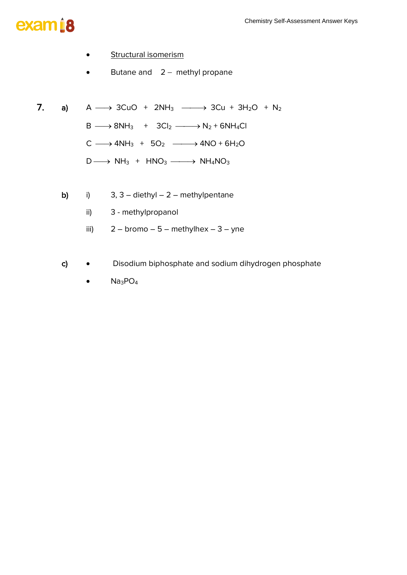- Structural isomerism
- Butane and 2 − methyl propane
- 7. a)  $A \longrightarrow 3CuO + 2NH_3 \longrightarrow 3Cu + 3H_2O + N_2$  $B \longrightarrow 8NH_3 + 3Cl_2 \longrightarrow N_2 + 6NH_4Cl$  $C \longrightarrow 4NH_3 + 5O_2 \longrightarrow 4NO + 6H_2O$ 
	- $D \longrightarrow NH_3 + HNO_3 \longrightarrow NH_4NO_3$
	- b) i)  $3, 3 -$  diethyl  $-2 -$  methylpentane
		- ii) 3 methylpropanol
		- iii)  $2 b$ romo  $-5 -$  methylhex  $-3 -$  yne
	- c) Disodium biphosphate and sodium dihydrogen phosphate
		- Na<sub>3</sub>PO<sub>4</sub>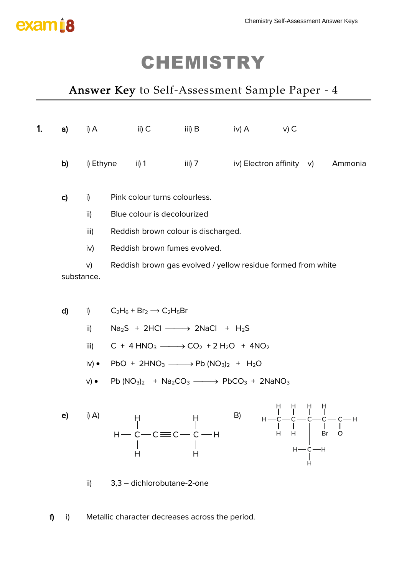

### *Answer Key to Self-Assessment Sample Paper - 4*

| 1. | a)                         | i) A                                         | $ii)$ $C$                                                                                                                                                                                                                                                                                                                                                                                                                                                                                                                                                                                               | iii) $B$                                                                                                                                                                                                                                                        | iv) $A$ | $v)$ C |                   |                                                       |
|----|----------------------------|----------------------------------------------|---------------------------------------------------------------------------------------------------------------------------------------------------------------------------------------------------------------------------------------------------------------------------------------------------------------------------------------------------------------------------------------------------------------------------------------------------------------------------------------------------------------------------------------------------------------------------------------------------------|-----------------------------------------------------------------------------------------------------------------------------------------------------------------------------------------------------------------------------------------------------------------|---------|--------|-------------------|-------------------------------------------------------|
|    | b)                         | i) Ethyne                                    | $\frac{1}{2}$ ii) 1                                                                                                                                                                                                                                                                                                                                                                                                                                                                                                                                                                                     | iii) 7 iv) Electron affinity v)                                                                                                                                                                                                                                 |         |        |                   | Ammonia                                               |
|    | $\mathsf{c}$<br>substance. | i)<br>ii)<br>iii)<br>iv)<br>V)               | Pink colour turns colourless.<br>Blue colour is decolourized<br>Reddish brown fumes evolved.                                                                                                                                                                                                                                                                                                                                                                                                                                                                                                            | Reddish brown colour is discharged.<br>Reddish brown gas evolved / yellow residue formed from white                                                                                                                                                             |         |        |                   |                                                       |
|    | d)                         | i)<br>ii)<br>iii)<br>i∨) ●<br>$V)$ $\bullet$ | $C_2H_6 + Br_2 \rightarrow C_2H_5Br$                                                                                                                                                                                                                                                                                                                                                                                                                                                                                                                                                                    | $Na2S + 2HCl \longrightarrow 2NaCl + H2S$<br>$C + 4$ HNO <sub>3</sub> $\longrightarrow$ CO <sub>2</sub> + 2 H <sub>2</sub> O + 4NO <sub>2</sub><br>$PbO + 2HNO3$ ------> $Pb (NO3)2 + H2O$<br>Pb $(NO_3)_2$ + $Na_2CO_3$ $\longrightarrow$ $PbCO_3$ + $2NaNO_3$ |         |        |                   |                                                       |
|    | e)                         | i) A)                                        | H<br>$\begin{array}{c}\nH \longrightarrow C \longrightarrow C \Longrightarrow C \longrightarrow C \longrightarrow H \\ \downarrow \qquad \qquad \vdots \qquad \qquad \vdots \qquad \qquad \vdots \qquad \qquad \vdots \qquad \qquad \vdots \qquad \qquad \vdots \qquad \qquad \vdots \qquad \qquad \vdots \qquad \qquad \vdots \qquad \qquad \vdots \qquad \qquad \vdots \qquad \qquad \vdots \qquad \qquad \vdots \qquad \qquad \vdots \qquad \qquad \vdots \qquad \qquad \vdots \qquad \qquad \vdots \qquad \qquad \vdots \qquad \qquad \vdots \qquad \qquad \vdots \qquad \qquad \vdots \qquad$<br>н | H                                                                                                                                                                                                                                                               | B)      | H<br>Н | Br<br>$H - C - H$ | H H H H<br>       <br>H—C—C—C—C—H<br>$\parallel$<br>O |
|    |                            | ii)                                          | 3,3 - dichlorobutane-2-one                                                                                                                                                                                                                                                                                                                                                                                                                                                                                                                                                                              |                                                                                                                                                                                                                                                                 |         |        |                   |                                                       |

f) i) Metallic character decreases across the period.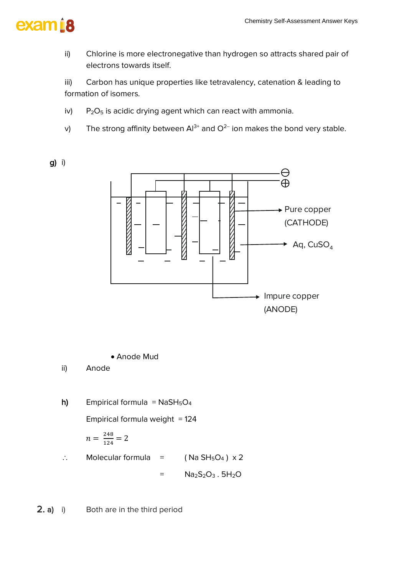

g) i)

ii) Chlorine is more electronegative than hydrogen so attracts shared pair of electrons towards itself.

iii) Carbon has unique properties like tetravalency, catenation & leading to formation of isomers.

- iv) P<sub>2</sub>O<sub>5</sub> is acidic drying agent which can react with ammonia.
- v) The strong affinity between Al<sup>3+</sup> and O<sup>2−</sup> ion makes the bond very stable.



• Anode Mud

ii) Anode

h) Empirical formula =  $NaSH<sub>5</sub>O<sub>4</sub>$ Empirical formula weight  $= 124$  $n = \frac{248}{124}$  $\frac{246}{124} = 2$  $\therefore$  Molecular formula = (Na SH<sub>5</sub>O<sub>4</sub>) x 2

 $=$  Na<sub>2</sub>S<sub>2</sub>O<sub>3</sub>. 5H<sub>2</sub>O

2. a) i) Both are in the third period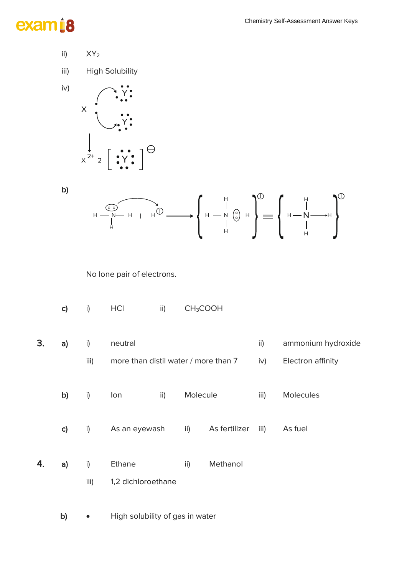# exam<sub>i8</sub>

- ii)  $XY_2$
- iii) High Solubility



b)



No lone pair of electrons.

|    | c)            | i)         | HCI                                             | ii) | CH <sub>3</sub> COOH |               |                      |                                         |
|----|---------------|------------|-------------------------------------------------|-----|----------------------|---------------|----------------------|-----------------------------------------|
| 3. | a)            | i)<br>iii) | neutral<br>more than distil water / more than 7 |     |                      |               | $\mathsf{ii}$<br>iv) | ammonium hydroxide<br>Electron affinity |
|    | b)            | i)         | lon                                             | ii) | Molecule             |               | iii)                 | <b>Molecules</b>                        |
|    | $\mathsf{c})$ | i)         | As an eyewash                                   |     | ii)                  | As fertilizer | iii)                 | As fuel                                 |
| 4. | a)            | i)<br>iii) | Ethane<br>1,2 dichloroethane                    |     | ii)                  | Methanol      |                      |                                         |
|    | b)            |            | High solubility of gas in water                 |     |                      |               |                      |                                         |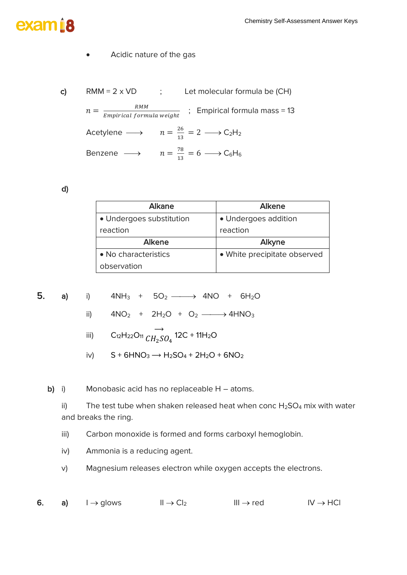#### • Acidic nature of the gas

c) RMM =  $2 \times \text{VD}$  ; Let molecular formula be (CH)  $n = \frac{RMM}{F_{\text{max}}/F_{\text{max}}/F_{\text{max}}}$  $\frac{RMM}{Empirical formula weight}$  ; Empirical formula mass = 13 Acetylene  $\longrightarrow$   $n = \frac{26}{12}$  $\frac{26}{13} = 2 \longrightarrow C_2H_2$ Benzene  $\longrightarrow$   $n = \frac{78}{12}$  $\frac{18}{13} = 6 \longrightarrow C_6H_6$ 

d)

| Alkane                   | Alkene                       |
|--------------------------|------------------------------|
| • Undergoes substitution | · Undergoes addition         |
| reaction                 | reaction                     |
| <b>Alkene</b>            | Alkyne                       |
| • No characteristics     | • White precipitate observed |
| observation              |                              |

5. a) i) 
$$
4NH_3 + 5O_2 \longrightarrow 4NO + 6H_2O
$$

- ii)  $4NO_2 + 2H_2O + O_2 \longrightarrow 4HNO_3$
- iii)  $C_{12}H_{22}O_{11}$  $\rightarrow$  $\mathit{CH}_2\mathit{SO}_4$  12C + 11H<sub>2</sub>O
- iv)  $S + 6HNO<sub>3</sub> \rightarrow H<sub>2</sub>SO<sub>4</sub> + 2H<sub>2</sub>O + 6NO<sub>2</sub>$

b) i) Monobasic acid has no replaceable H – atoms.

ii) The test tube when shaken released heat when conc  $H_2SO_4$  mix with water and breaks the ring.

iii) Carbon monoxide is formed and forms carboxyl hemoglobin.

- iv) Ammonia is a reducing agent.
- v) Magnesium releases electron while oxygen accepts the electrons.

6. a)  $I \rightarrow$  glows  $II \rightarrow Cl_2$  III  $\rightarrow$  red IV  $\rightarrow$  HCl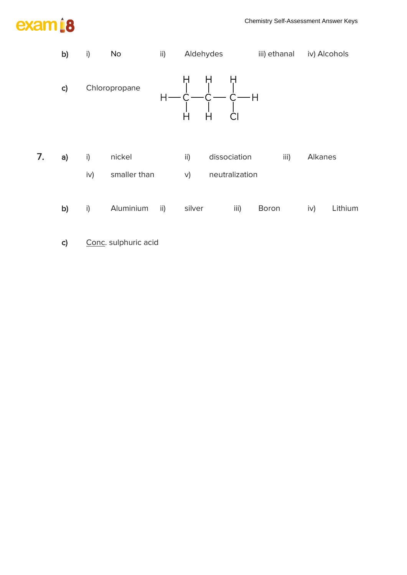

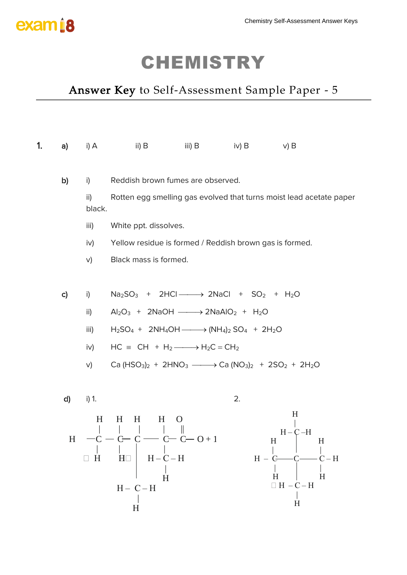

### *Answer Key to Self-Assessment Sample Paper - 5*

| 1. | a)              | i) A          | ii) B                                                                                                                                                                                                                                                                                               | iii) B | iv) B             | $v)$ B                                                                          |
|----|-----------------|---------------|-----------------------------------------------------------------------------------------------------------------------------------------------------------------------------------------------------------------------------------------------------------------------------------------------------|--------|-------------------|---------------------------------------------------------------------------------|
|    |                 |               |                                                                                                                                                                                                                                                                                                     |        |                   |                                                                                 |
|    | b)              | i)            | Reddish brown fumes are observed.                                                                                                                                                                                                                                                                   |        |                   |                                                                                 |
|    |                 | ii)<br>black. |                                                                                                                                                                                                                                                                                                     |        |                   | Rotten egg smelling gas evolved that turns moist lead acetate paper             |
|    |                 | iii)          | White ppt. dissolves.                                                                                                                                                                                                                                                                               |        |                   |                                                                                 |
|    |                 | iv)           | Yellow residue is formed / Reddish brown gas is formed.                                                                                                                                                                                                                                             |        |                   |                                                                                 |
|    |                 | V)            | Black mass is formed.                                                                                                                                                                                                                                                                               |        |                   |                                                                                 |
|    |                 |               |                                                                                                                                                                                                                                                                                                     |        |                   |                                                                                 |
|    | $\mathsf{C}$    | i)            | $Na2SO3 + 2HCl \longrightarrow 2NaCl + SO2 + H2O$                                                                                                                                                                                                                                                   |        |                   |                                                                                 |
|    |                 | ii)           | $Al_2O_3$ + 2NaOH $\longrightarrow$ 2NaAlO <sub>2</sub> + H <sub>2</sub> O                                                                                                                                                                                                                          |        |                   |                                                                                 |
|    |                 | iii)          | $H_2SO_4$ + 2NH <sub>4</sub> OH $\longrightarrow$ (NH <sub>4</sub> ) <sub>2</sub> SO <sub>4</sub> + 2H <sub>2</sub> O                                                                                                                                                                               |        |                   |                                                                                 |
|    |                 | iv)           | $HC \equiv CH + H_2 \longrightarrow H_2C = CH_2$                                                                                                                                                                                                                                                    |        |                   |                                                                                 |
|    |                 | V)            | Ca (HSO <sub>3</sub> ) <sub>2</sub> + 2HNO <sub>3</sub> $\longrightarrow$ Ca (NO <sub>3</sub> ) <sub>2</sub> + 2SO <sub>2</sub> + 2H <sub>2</sub> O                                                                                                                                                 |        |                   |                                                                                 |
|    |                 |               |                                                                                                                                                                                                                                                                                                     |        |                   |                                                                                 |
|    | d)              | i) 1.         |                                                                                                                                                                                                                                                                                                     |        | 2.                |                                                                                 |
|    | $H_{\parallel}$ | H<br>H<br>H   | H<br>H<br>H<br>$-c$ - $c$ - $c$ - $c$ - $c$ - $c$ - $c$ - $c$ - $c$ - $c$ - $c$ - $c$ - $c$ - $c$ - $c$ - $c$ - $c$ - $c$ - $c$ - $c$ - $c$ - $c$ - $c$ - $c$ - $c$ - $c$ - $c$ - $c$ - $c$ - $c$ - $c$ - $c$ - $c$ - $c$ - $c$ - $c$ - $c$ -<br>$H - C - H$<br>$H\square$<br>H<br>$H - C - H$<br>H |        | H<br>$H - G$<br>H | $H_{\rm}$<br>$H - C - H$<br>$H_{\rm}$<br>H<br>$\Box$ H $-$ C $-$ H<br>$H_{\rm}$ |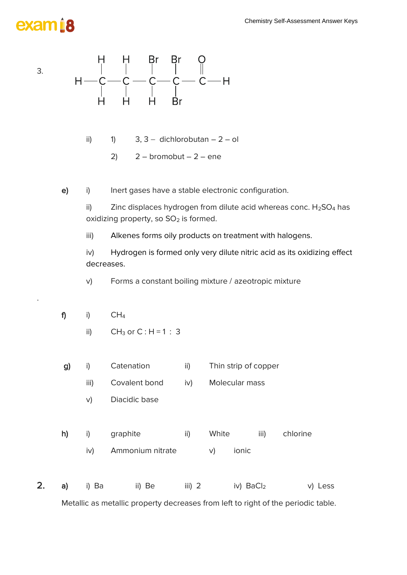# exam 18



ii)  $1)$  3, 3 – dichlorobutan – 2 – ol

2)  $2 -$  bromobut  $-2 -$  ene

e) i) Inert gases have a stable electronic configuration.

ii) Zinc displaces hydrogen from dilute acid whereas conc.  $H_2SO_4$  has oxidizing property, so  $SO<sub>2</sub>$  is formed.

iii) Alkenes forms oily products on treatment with halogens.

iv) Hydrogen is formed only very dilute nitric acid as its oxidizing effect decreases.

v) Forms a constant boiling mixture / azeotropic mixture

f) i)  $CH_4$ 

.

ii)  $CH_3$  or  $C : H = 1 : 3$ 

|  |  | Catenation    |     | Thin strip of copper |
|--|--|---------------|-----|----------------------|
|  |  | Covalent bond | iv) | Molecular mass       |

- v) Diacidic base
- h) i) graphite ii) White iii) chlorine
	- iv) Ammonium nitrate v) ionic
- 2. a) i) Ba ii) Be iii) 2 iv) BaCl<sub>2</sub> v) Less

Metallic as metallic property decreases from left to right of the periodic table.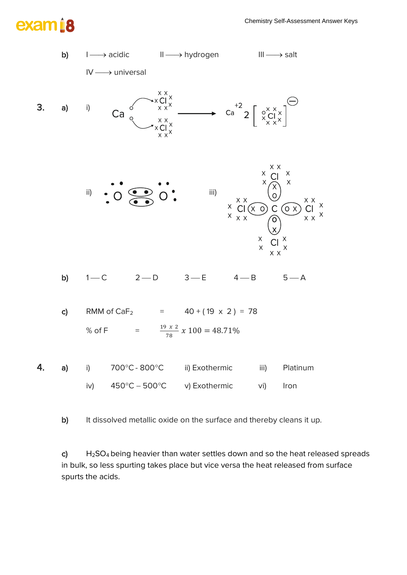#### Chemistry Self-Assessment Answer Keys





b) It dissolved metallic oxide on the surface and thereby cleans it up.

c)  $H_2SO_4$  being heavier than water settles down and so the heat released spreads in bulk, so less spurting takes place but vice versa the heat released from surface spurts the acids.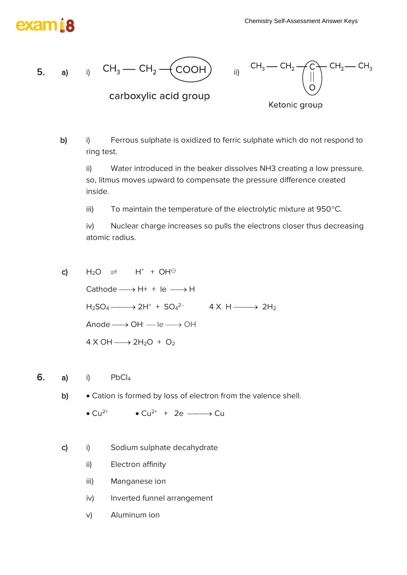# exam ra





Ketonic group

b) i) Ferrous sulphate is oxidized to ferric sulphate which do not respond to ring test.

ii) Water introduced in the beaker dissolves NH3 creating a low pressure. so, litmus moves upward to compensate the pressure difference created inside.

iii) To maintain the temperature of the electrolytic mixture at  $950^{\circ}$ C.

iv) Nuclear charge increases so pulls the electrons closer thus decreasing atomic radius.

- c)  $H_2O \Rightarrow H^+ + OH^{\ominus}$ Cathode  $\longrightarrow$  H+ + le  $\longrightarrow$  H  $H_2SO_4 \longrightarrow 2H^+ + SO_4^2$  4 X H  $\longrightarrow 2H_2$  $Anode \longrightarrow OH^- \longrightarrow le \longrightarrow OH$  $4 \times OH \longrightarrow 2H_2O + O_2$
- 6. a) i)  $PbCl<sub>4</sub>$ 
	- b) Cation is formed by loss of electron from the valence shell.

• Cu<sup>2+</sup> • Cu<sup>2+</sup> + 2e  $\longrightarrow$  Cu

- c) i) Sodium sulphate decahydrate
	- ii) Electron affinity
	- iii) Manganese ion
	- iv) Inverted funnel arrangement
	- v) Aluminum ion